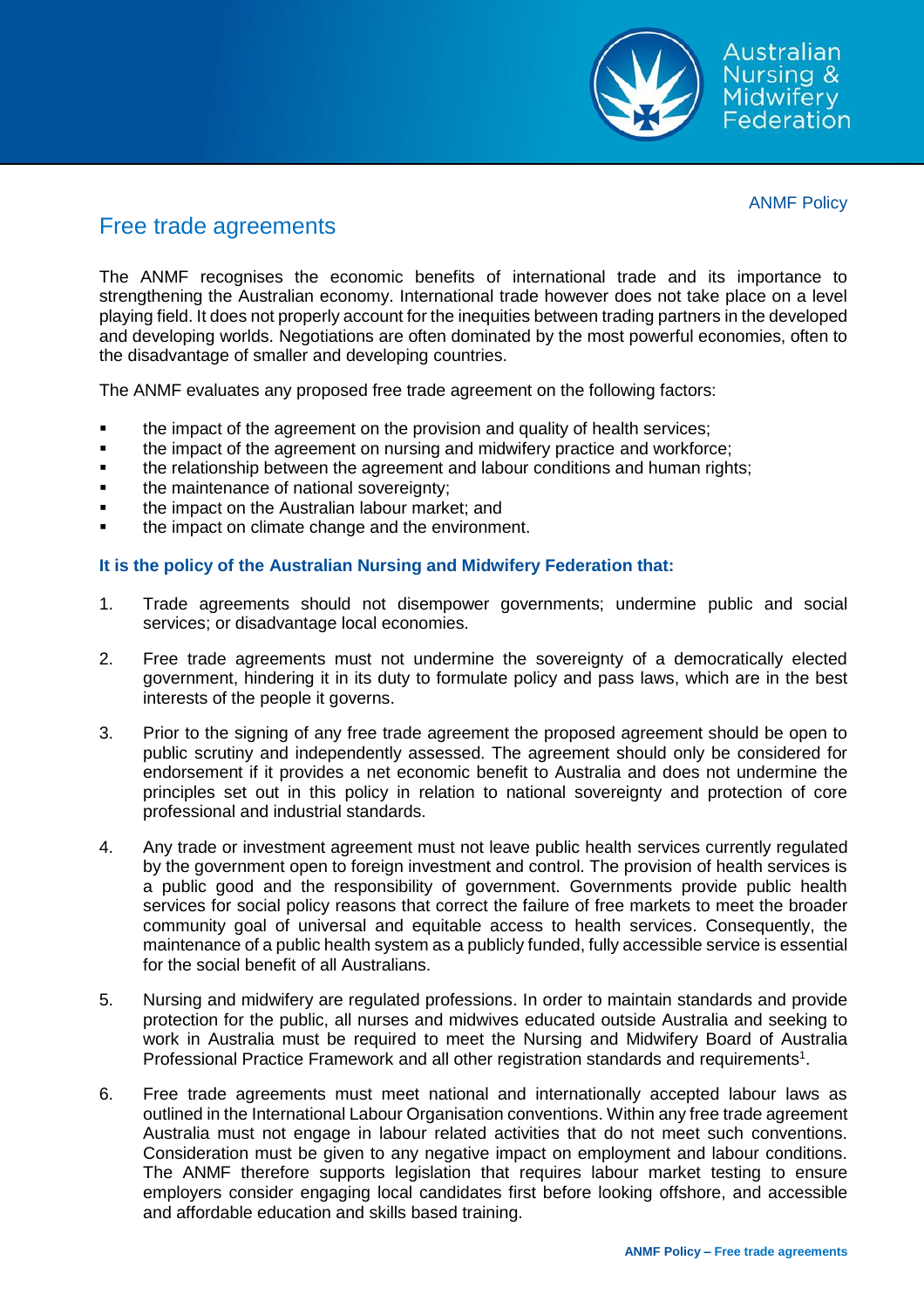

ANMF Policy

## Free trade agreements

The ANMF recognises the economic benefits of international trade and its importance to strengthening the Australian economy. International trade however does not take place on a level playing field. It does not properly account for the inequities between trading partners in the developed and developing worlds. Negotiations are often dominated by the most powerful economies, often to the disadvantage of smaller and developing countries.

The ANMF evaluates any proposed free trade agreement on the following factors:

- **the impact of the agreement on the provision and quality of health services;**
- the impact of the agreement on nursing and midwifery practice and workforce;
- the relationship between the agreement and labour conditions and human rights;
- the maintenance of national sovereignty;
- the impact on the Australian labour market; and
- the impact on climate change and the environment.

## **It is the policy of the Australian Nursing and Midwifery Federation that:**

- 1. Trade agreements should not disempower governments; undermine public and social services; or disadvantage local economies.
- 2. Free trade agreements must not undermine the sovereignty of a democratically elected government, hindering it in its duty to formulate policy and pass laws, which are in the best interests of the people it governs.
- 3. Prior to the signing of any free trade agreement the proposed agreement should be open to public scrutiny and independently assessed. The agreement should only be considered for endorsement if it provides a net economic benefit to Australia and does not undermine the principles set out in this policy in relation to national sovereignty and protection of core professional and industrial standards.
- 4. Any trade or investment agreement must not leave public health services currently regulated by the government open to foreign investment and control. The provision of health services is a public good and the responsibility of government. Governments provide public health services for social policy reasons that correct the failure of free markets to meet the broader community goal of universal and equitable access to health services. Consequently, the maintenance of a public health system as a publicly funded, fully accessible service is essential for the social benefit of all Australians.
- 5. Nursing and midwifery are regulated professions. In order to maintain standards and provide protection for the public, all nurses and midwives educated outside Australia and seeking to work in Australia must be required to meet the Nursing and Midwifery Board of Australia Professional Practice Framework and all other registration standards and requirements<sup>1</sup>.
- 6. Free trade agreements must meet national and internationally accepted labour laws as outlined in the International Labour Organisation conventions. Within any free trade agreement Australia must not engage in labour related activities that do not meet such conventions. Consideration must be given to any negative impact on employment and labour conditions. The ANMF therefore supports legislation that requires labour market testing to ensure employers consider engaging local candidates first before looking offshore, and accessible and affordable education and skills based training.